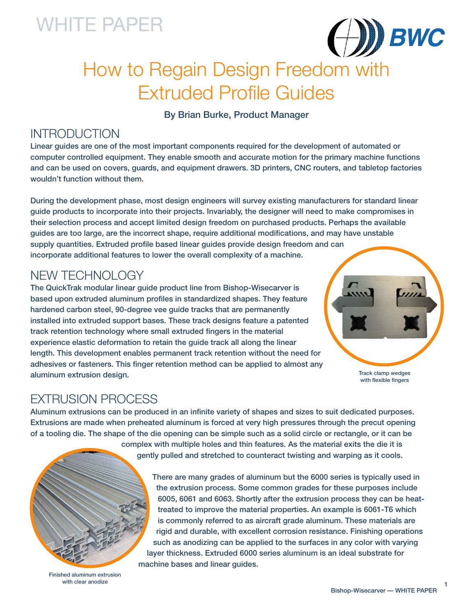# WHITE PAPER



# How to Regain Design Freedom with Extruded Profile Guides

By Brian Burke, Product Manager

## **INTRODUCTION**

Linear guides are one of the most important components required for the development of automated or computer controlled equipment. They enable smooth and accurate motion for the primary machine functions and can be used on covers, guards, and equipment drawers. 3D printers, CNC routers, and tabletop factories wouldn't function without them.

During the development phase, most design engineers will survey existing manufacturers for standard linear guide products to incorporate into their projects. Invariably, the designer will need to make compromises in their selection process and accept limited design freedom on purchased products. Perhaps the available guides are too large, are the incorrect shape, require additional modifications, and may have unstable supply quantities. Extruded profile based linear guides provide design freedom and can incorporate additional features to lower the overall complexity of a machine.

## NEW TECHNOLOGY

The QuickTrak modular linear guide product line from Bishop-Wisecarver is based upon extruded aluminum profiles in standardized shapes. They feature hardened carbon steel, 90-degree vee guide tracks that are permanently installed into extruded support bases. These track designs feature a patented track retention technology where small extruded fingers in the material experience elastic deformation to retain the guide track all along the linear length. This development enables permanent track retention without the need for adhesives or fasteners. This finger retention method can be applied to almost any aluminum extrusion design.



Track clamp wedges with flexible fingers

### EXTRUSION PROCESS

Aluminum extrusions can be produced in an infinite variety of shapes and sizes to suit dedicated purposes. Extrusions are made when preheated aluminum is forced at very high pressures through the precut opening of a tooling die. The shape of the die opening can be simple such as a solid circle or rectangle, or it can be

complex with multiple holes and thin features. As the material exits the die it is gently pulled and stretched to counteract twisting and warping as it cools.



There are many grades of aluminum but the 6000 series is typically used in the extrusion process. Some common grades for these purposes include 6005, 6061 and 6063. Shortly after the extrusion process they can be heattreated to improve the material properties. An example is 6061-T6 which is commonly referred to as aircraft grade aluminum. These materials are rigid and durable, with excellent corrosion resistance. Finishing operations such as anodizing can be applied to the surfaces in any color with varying layer thickness. Extruded 6000 series aluminum is an ideal substrate for machine bases and linear guides.

Finished aluminum extrusion with clear anodize

1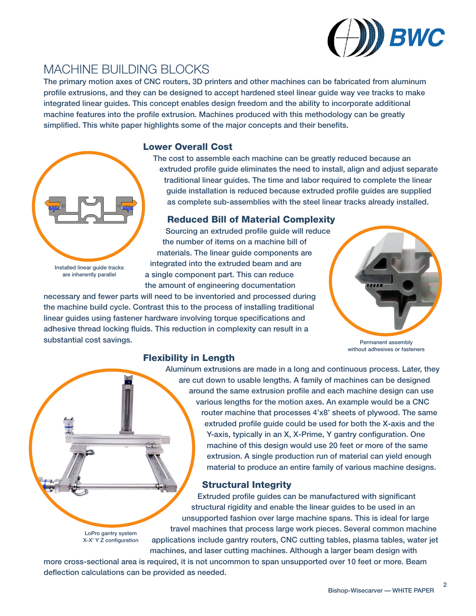

## MACHINE BUILDING BLOCKS

The primary motion axes of CNC routers, 3D printers and other machines can be fabricated from aluminum profile extrusions, and they can be designed to accept hardened steel linear guide way vee tracks to make integrated linear guides. This concept enables design freedom and the ability to incorporate additional machine features into the profile extrusion. Machines produced with this methodology can be greatly simplified. This white paper highlights some of the major concepts and their benefits.

#### Lower Overall Cost



Installed linear guide tracks are inherently parallel

LoPro gantry system

The cost to assemble each machine can be greatly reduced because an extruded profile guide eliminates the need to install, align and adjust separate traditional linear guides. The time and labor required to complete the linear guide installation is reduced because extruded profile guides are supplied as complete sub-assemblies with the steel linear tracks already installed.

#### Reduced Bill of Material Complexity

Sourcing an extruded profile guide will reduce the number of items on a machine bill of materials. The linear guide components are integrated into the extruded beam and are a single component part. This can reduce the amount of engineering documentation

necessary and fewer parts will need to be inventoried and processed during the machine build cycle. Contrast this to the process of installing traditional linear guides using fastener hardware involving torque specifications and adhesive thread locking fluids. This reduction in complexity can result in a substantial cost savings.



Permanent assembly without adhesives or fasteners

### Flexibility in Length

Aluminum extrusions are made in a long and continuous process. Later, they are cut down to usable lengths. A family of machines can be designed around the same extrusion profile and each machine design can use various lengths for the motion axes. An example would be a CNC router machine that processes 4'x8' sheets of plywood. The same extruded profile guide could be used for both the X-axis and the Y-axis, typically in an X, X-Prime, Y gantry configuration. One machine of this design would use 20 feet or more of the same extrusion. A single production run of material can yield enough material to produce an entire family of various machine designs.

### Structural Integrity

Extruded profile guides can be manufactured with significant structural rigidity and enable the linear guides to be used in an unsupported fashion over large machine spans. This is ideal for large travel machines that process large work pieces. Several common machine X-X' Y Z configuration applications include gantry routers, CNC cutting tables, plasma tables, water jet machines, and laser cutting machines. Although a larger beam design with

more cross-sectional area is required, it is not uncommon to span unsupported over 10 feet or more. Beam deflection calculations can be provided as needed.

2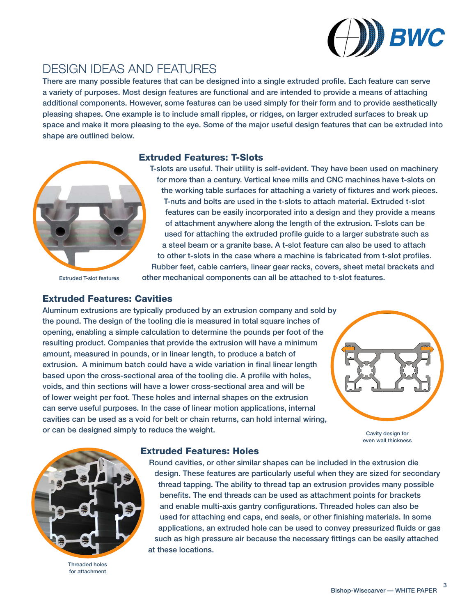

## DESIGN IDEAS AND FEATURES

There are many possible features that can be designed into a single extruded profile. Each feature can serve a variety of purposes. Most design features are functional and are intended to provide a means of attaching additional components. However, some features can be used simply for their form and to provide aesthetically pleasing shapes. One example is to include small ripples, or ridges, on larger extruded surfaces to break up space and make it more pleasing to the eye. Some of the major useful design features that can be extruded into shape are outlined below.

#### Extruded Features: T-Slots



T-slots are useful. Their utility is self-evident. They have been used on machinery for more than a century. Vertical knee mills and CNC machines have t-slots on the working table surfaces for attaching a variety of fixtures and work pieces. T-nuts and bolts are used in the t-slots to attach material. Extruded t-slot features can be easily incorporated into a design and they provide a means of attachment anywhere along the length of the extrusion. T-slots can be used for attaching the extruded profile guide to a larger substrate such as a steel beam or a granite base. A t-slot feature can also be used to attach to other t-slots in the case where a machine is fabricated from t-slot profiles. Rubber feet, cable carriers, linear gear racks, covers, sheet metal brackets and other mechanical components can all be attached to t-slot features.

Extruded T-slot features

#### Extruded Features: Cavities

Aluminum extrusions are typically produced by an extrusion company and sold by the pound. The design of the tooling die is measured in total square inches of opening, enabling a simple calculation to determine the pounds per foot of the resulting product. Companies that provide the extrusion will have a minimum amount, measured in pounds, or in linear length, to produce a batch of extrusion. A minimum batch could have a wide variation in final linear length based upon the cross-sectional area of the tooling die. A profile with holes, voids, and thin sections will have a lower cross-sectional area and will be of lower weight per foot. These holes and internal shapes on the extrusion can serve useful purposes. In the case of linear motion applications, internal cavities can be used as a void for belt or chain returns, can hold internal wiring, or can be designed simply to reduce the weight.



Cavity design for even wall thickness

#### Extruded Features: Holes



Threaded holes for attachment

Round cavities, or other similar shapes can be included in the extrusion die design. These features are particularly useful when they are sized for secondary thread tapping. The ability to thread tap an extrusion provides many possible benefits. The end threads can be used as attachment points for brackets and enable multi-axis gantry configurations. Threaded holes can also be used for attaching end caps, end seals, or other finishing materials. In some applications, an extruded hole can be used to convey pressurized fluids or gas such as high pressure air because the necessary fittings can be easily attached at these locations.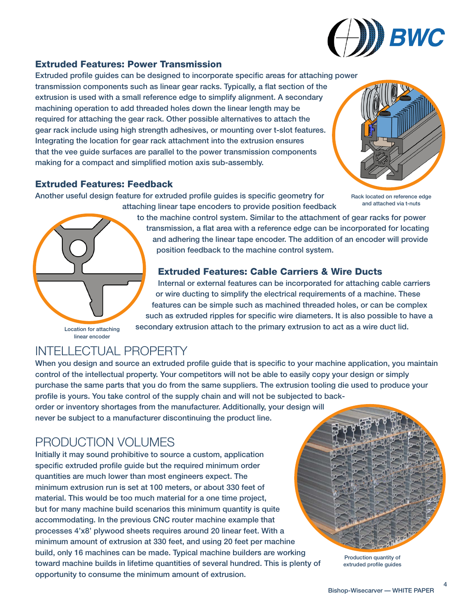

### Extruded Features: Power Transmission

Extruded profile guides can be designed to incorporate specific areas for attaching power transmission components such as linear gear racks. Typically, a flat section of the extrusion is used with a small reference edge to simplify alignment. A secondary machining operation to add threaded holes down the linear length may be required for attaching the gear rack. Other possible alternatives to attach the gear rack include using high strength adhesives, or mounting over t-slot features. Integrating the location for gear rack attachment into the extrusion ensures that the vee guide surfaces are parallel to the power transmission components making for a compact and simplified motion axis sub-assembly.

### Extruded Features: Feedback

Another useful design feature for extruded profile guides is specific geometry for



Rack located on reference edge and attached via t-nuts

to the machine control system. Similar to the attachment of gear racks for power transmission, a flat area with a reference edge can be incorporated for locating and adhering the linear tape encoder. The addition of an encoder will provide position feedback to the machine control system.

### Extruded Features: Cable Carriers & Wire Ducts

Internal or external features can be incorporated for attaching cable carriers or wire ducting to simplify the electrical requirements of a machine. These features can be simple such as machined threaded holes, or can be complex such as extruded ripples for specific wire diameters. It is also possible to have a secondary extrusion attach to the primary extrusion to act as a wire duct lid.

INTELLECTUAL PROPERTY

Location for attaching linear encoder

When you design and source an extruded profile guide that is specific to your machine application, you maintain control of the intellectual property. Your competitors will not be able to easily copy your design or simply purchase the same parts that you do from the same suppliers. The extrusion tooling die used to produce your profile is yours. You take control of the supply chain and will not be subjected to backorder or inventory shortages from the manufacturer. Additionally, your design will

attaching linear tape encoders to provide position feedback

never be subject to a manufacturer discontinuing the product line.

# PRODUCTION VOLUMES

Initially it may sound prohibitive to source a custom, application specific extruded profile guide but the required minimum order quantities are much lower than most engineers expect. The minimum extrusion run is set at 100 meters, or about 330 feet of material. This would be too much material for a one time project, but for many machine build scenarios this minimum quantity is quite accommodating. In the previous CNC router machine example that processes 4'x8' plywood sheets requires around 20 linear feet. With a minimum amount of extrusion at 330 feet, and using 20 feet per machine build, only 16 machines can be made. Typical machine builders are working toward machine builds in lifetime quantities of several hundred. This is plenty of opportunity to consume the minimum amount of extrusion.



Production quantity of extruded profile guides

4